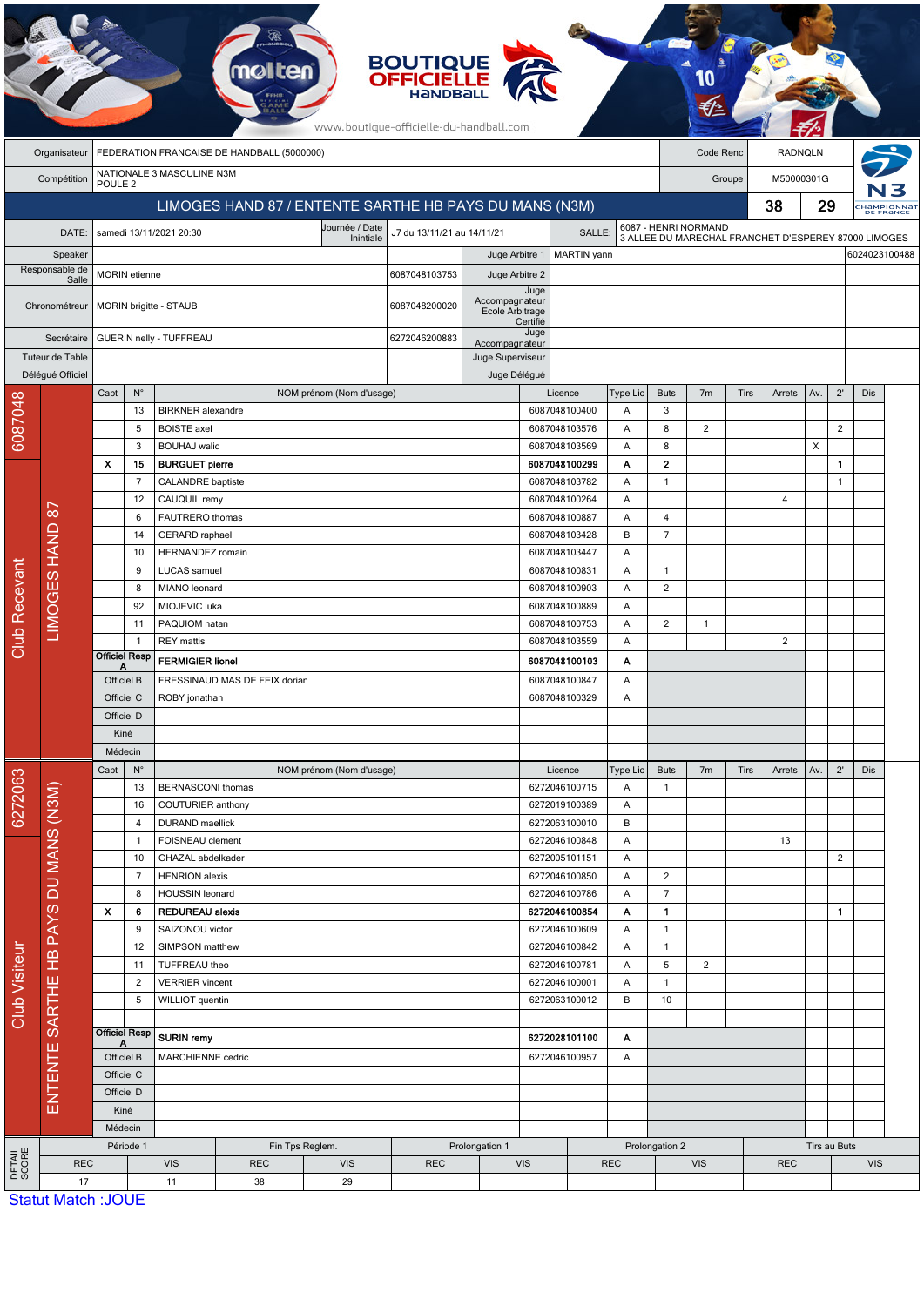|                         | <b>BOUTIQUE<br/>OFFICIELLE</b><br>www.boutique-officielle-du-handball.com |                                                        |                                           |                                                                         |                         |                               |                                      |                                                       |                                |                                                                |                                                                              |                                  |                |                      |        |                            |                |                                        |  |
|-------------------------|---------------------------------------------------------------------------|--------------------------------------------------------|-------------------------------------------|-------------------------------------------------------------------------|-------------------------|-------------------------------|--------------------------------------|-------------------------------------------------------|--------------------------------|----------------------------------------------------------------|------------------------------------------------------------------------------|----------------------------------|----------------|----------------------|--------|----------------------------|----------------|----------------------------------------|--|
|                         | Organisateur                                                              | FEDERATION FRANCAISE DE HANDBALL (5000000)             |                                           |                                                                         |                         |                               |                                      |                                                       |                                |                                                                | Code Renc<br>RADNQLN                                                         |                                  |                |                      |        |                            |                |                                        |  |
|                         | Compétition                                                               | NATIONALE 3 MASCULINE N3M<br>POULE <sub>2</sub>        |                                           |                                                                         |                         |                               |                                      |                                                       |                                |                                                                |                                                                              |                                  |                | M50000301G<br>Groupe |        |                            |                |                                        |  |
|                         |                                                                           | LIMOGES HAND 87 / ENTENTE SARTHE HB PAYS DU MANS (N3M) |                                           |                                                                         |                         |                               |                                      |                                                       |                                |                                                                |                                                                              | 38                               |                |                      |        | 29                         |                | :Hampionna <mark>t</mark><br>DE FRANCE |  |
|                         | DATE:                                                                     |                                                        |                                           | samedi 13/11/2021 20:30                                                 |                         | Journée / Date<br>Inintiale   | J7 du 13/11/21 au 14/11/21<br>SALLE: |                                                       |                                |                                                                | 6087 - HENRI NORMAND<br>3 ALLEE DU MARECHAL FRANCHET D'ESPEREY 87000 LIMOGES |                                  |                |                      |        |                            |                |                                        |  |
| Speaker                 |                                                                           |                                                        |                                           |                                                                         |                         |                               |                                      | Juge Arbitre 1                                        |                                | 6024023100488<br>MARTIN yann                                   |                                                                              |                                  |                |                      |        |                            |                |                                        |  |
| Responsable de<br>Salle |                                                                           |                                                        | <b>MORIN</b> etienne                      |                                                                         |                         |                               | 6087048103753<br>Juge Arbitre 2      |                                                       |                                |                                                                |                                                                              |                                  |                |                      |        |                            |                |                                        |  |
| Chronométreur           |                                                                           |                                                        |                                           | MORIN brigitte - STAUB                                                  |                         |                               | 6087048200020                        | Juge<br>Accompagnateur<br>Ecole Arbitrage<br>Certifié |                                |                                                                |                                                                              |                                  |                |                      |        |                            |                |                                        |  |
| Secrétaire              |                                                                           | GUERIN nelly - TUFFREAU                                |                                           |                                                                         |                         |                               | 6272046200883                        | Accompagnateur                                        | Juge                           |                                                                |                                                                              |                                  |                |                      |        |                            |                |                                        |  |
| Tuteur de Table         |                                                                           |                                                        |                                           |                                                                         |                         |                               |                                      | Juge Superviseur                                      |                                |                                                                |                                                                              |                                  |                |                      |        |                            |                |                                        |  |
|                         | Délégué Officiel                                                          | Capt                                                   | $N^{\circ}$                               |                                                                         |                         | NOM prénom (Nom d'usage)      |                                      | Juge Délégué                                          | Licence                        |                                                                | Type Lic                                                                     | <b>Buts</b>                      | 7 <sub>m</sub> | <b>Tirs</b>          | Arrets | Av.                        | $2^{\prime}$   | Dis                                    |  |
| 6087048                 |                                                                           |                                                        | 13                                        | <b>BIRKNER</b> alexandre                                                |                         |                               |                                      |                                                       | 6087048100400                  |                                                                | Α                                                                            | 3                                |                |                      |        |                            |                |                                        |  |
|                         |                                                                           |                                                        | 5                                         | <b>BOISTE</b> axel                                                      |                         |                               |                                      |                                                       | 6087048103576                  |                                                                | Α                                                                            | 8                                | 2              |                      |        |                            | $\overline{2}$ |                                        |  |
|                         |                                                                           |                                                        | 3                                         | <b>BOUHAJ</b> walid                                                     |                         |                               |                                      |                                                       | 6087048103569                  |                                                                | Α                                                                            | 8                                |                |                      |        | X                          |                |                                        |  |
|                         |                                                                           | X                                                      | 15<br>$\overline{7}$                      | <b>BURGUET pierre</b>                                                   |                         |                               |                                      |                                                       | 6087048100299<br>6087048103782 |                                                                | Α<br>Α                                                                       | $\mathbf{2}$<br>$\mathbf{1}$     |                |                      |        |                            | 1.<br>1        |                                        |  |
|                         |                                                                           |                                                        | 12                                        | <b>CALANDRE</b> baptiste<br>CAUQUIL remy                                |                         |                               |                                      |                                                       | 6087048100264                  |                                                                | Α                                                                            |                                  |                |                      | 4      |                            |                |                                        |  |
|                         |                                                                           |                                                        | 6                                         | FAUTRERO thomas                                                         |                         |                               |                                      |                                                       | 6087048100887                  |                                                                | A                                                                            | $\overline{4}$                   |                |                      |        |                            |                |                                        |  |
|                         |                                                                           |                                                        | 14                                        | <b>GERARD</b> raphael                                                   |                         |                               |                                      |                                                       | 6087048103428                  |                                                                | B                                                                            | $\overline{7}$                   |                |                      |        |                            |                |                                        |  |
|                         |                                                                           |                                                        | 10                                        | <b>HERNANDEZ</b> romain                                                 |                         |                               |                                      |                                                       | 6087048103447                  |                                                                | Α                                                                            |                                  |                |                      |        |                            |                |                                        |  |
|                         |                                                                           |                                                        | 9                                         | LUCAS samuel                                                            |                         |                               |                                      |                                                       | 6087048100831                  |                                                                | Α                                                                            | $\mathbf{1}$                     |                |                      |        |                            |                |                                        |  |
|                         | LIMOGES HAND 87                                                           |                                                        | 8                                         | MIANO leonard                                                           |                         |                               |                                      |                                                       | 6087048100903                  |                                                                | Α                                                                            | $\overline{2}$                   |                |                      |        |                            |                |                                        |  |
|                         |                                                                           |                                                        | 92<br>11                                  | MIOJEVIC luka                                                           |                         |                               |                                      |                                                       | 6087048100889                  |                                                                | Α                                                                            | $\overline{c}$                   | $\mathbf{1}$   |                      |        |                            |                |                                        |  |
| <b>Club Recevant</b>    |                                                                           |                                                        | -1                                        | PAQUIOM natan<br><b>REY</b> mattis                                      |                         |                               |                                      |                                                       | 6087048100753<br>6087048103559 |                                                                | Α<br>Α                                                                       |                                  |                |                      | 2      |                            |                |                                        |  |
|                         |                                                                           | <b>Officiel Resp</b>                                   |                                           |                                                                         | <b>FERMIGIER lionel</b> |                               |                                      | 6087048100103                                         |                                | Α                                                              |                                                                              |                                  |                |                      |        |                            |                |                                        |  |
|                         |                                                                           | Α<br>Officiel B                                        |                                           | FRESSINAUD MAS DE FEIX dorian                                           |                         |                               |                                      | 6087048100847                                         |                                | Α                                                              |                                                                              |                                  |                |                      |        |                            |                |                                        |  |
|                         |                                                                           | Officiel C                                             |                                           | ROBY jonathan                                                           |                         |                               |                                      | 6087048100329                                         |                                | Α                                                              |                                                                              |                                  |                |                      |        |                            |                |                                        |  |
|                         |                                                                           | Officiel D                                             |                                           |                                                                         |                         |                               |                                      |                                                       |                                |                                                                |                                                                              |                                  |                |                      |        |                            |                |                                        |  |
|                         |                                                                           | Kiné                                                   |                                           |                                                                         |                         |                               |                                      |                                                       |                                |                                                                |                                                                              |                                  |                |                      |        |                            |                |                                        |  |
|                         |                                                                           | Médecin<br>$N^{\circ}$                                 |                                           |                                                                         |                         |                               |                                      |                                                       |                                |                                                                | <b>Buts</b>                                                                  |                                  |                |                      |        | $2^{\prime}$               |                |                                        |  |
|                         |                                                                           | Capt                                                   | 13                                        | BERNASCONI thomas                                                       |                         | NOM prénom (Nom d'usage)      |                                      |                                                       | Licence<br>6272046100715       |                                                                | Type Lic<br>Α                                                                | $\mathbf{1}$                     | 7 <sub>m</sub> | Tirs                 | Arrets | Av.                        |                | Dis                                    |  |
| 6272063                 |                                                                           | 16                                                     |                                           |                                                                         | COUTURIER anthony       |                               |                                      |                                                       |                                | 6272019100389                                                  |                                                                              |                                  |                |                      |        |                            |                |                                        |  |
|                         |                                                                           |                                                        | 4                                         | <b>DURAND</b> maellick<br>FOISNEAU clement<br>-1                        |                         |                               |                                      |                                                       | 6272063100010                  |                                                                |                                                                              |                                  |                |                      |        |                            |                |                                        |  |
|                         |                                                                           |                                                        |                                           |                                                                         |                         |                               |                                      | 6272046100848                                         |                                | Α                                                              |                                                                              |                                  |                | 13                   |        |                            |                |                                        |  |
|                         |                                                                           | 10<br>$\overline{7}$<br>8                              |                                           | GHAZAL abdelkader                                                       |                         |                               |                                      |                                                       |                                | 6272005101151<br>Α<br>6272046100850<br>Α<br>6272046100786<br>Α |                                                                              |                                  |                |                      |        |                            | $\overline{2}$ |                                        |  |
|                         |                                                                           |                                                        |                                           | <b>HENRION</b> alexis<br>HOUSSIN leonard                                |                         |                               |                                      |                                                       |                                |                                                                |                                                                              | $\overline{2}$<br>$\overline{7}$ |                |                      |        |                            |                |                                        |  |
|                         | ENTENTE SARTHE HB PAYS DU MANS (N3M)                                      | X                                                      | 6                                         | <b>REDUREAU alexis</b><br>9<br>SAIZONOU victor<br>12<br>SIMPSON matthew |                         |                               |                                      |                                                       | 6272046100854                  |                                                                | $\mathbf{1}$                                                                 |                                  |                |                      |        | 1                          |                |                                        |  |
|                         |                                                                           |                                                        |                                           |                                                                         |                         |                               |                                      |                                                       | 6272046100609                  |                                                                | Α<br>Α                                                                       | $\mathbf{1}$                     |                |                      |        |                            |                |                                        |  |
|                         |                                                                           |                                                        |                                           |                                                                         |                         |                               |                                      |                                                       | 6272046100842                  |                                                                | Α                                                                            | $\mathbf{1}$                     |                |                      |        |                            |                |                                        |  |
|                         |                                                                           |                                                        | TUFFREAU theo<br>6272046100781<br>11<br>Α |                                                                         |                         |                               | 5                                    | $\overline{2}$                                        |                                |                                                                |                                                                              |                                  |                |                      |        |                            |                |                                        |  |
| Club Visiteur           |                                                                           |                                                        | $\overline{2}$<br>5                       | <b>VERRIER</b> vincent                                                  |                         |                               |                                      |                                                       | 6272046100001                  |                                                                | Α<br>B                                                                       | $\mathbf{1}$                     |                |                      |        |                            |                |                                        |  |
|                         |                                                                           |                                                        |                                           | WILLIOT quentin                                                         |                         |                               |                                      |                                                       | 6272063100012                  |                                                                |                                                                              | 10                               |                |                      |        |                            |                |                                        |  |
|                         |                                                                           | <b>Officiel Resp</b>                                   |                                           | SURIN remy                                                              |                         |                               |                                      | 6272028101100<br>Α                                    |                                |                                                                |                                                                              |                                  |                |                      |        |                            |                |                                        |  |
|                         |                                                                           | A<br>Officiel B<br>Officiel C<br>Officiel D            |                                           | MARCHIENNE cedric                                                       |                         |                               |                                      | 6272046100957                                         |                                | Α                                                              |                                                                              |                                  |                |                      |        |                            |                |                                        |  |
|                         |                                                                           |                                                        |                                           |                                                                         |                         |                               |                                      |                                                       |                                |                                                                |                                                                              |                                  |                |                      |        |                            |                |                                        |  |
|                         |                                                                           |                                                        |                                           |                                                                         |                         |                               |                                      |                                                       |                                |                                                                |                                                                              |                                  |                |                      |        |                            |                |                                        |  |
|                         |                                                                           |                                                        | Kiné                                      |                                                                         |                         |                               |                                      |                                                       |                                |                                                                |                                                                              |                                  |                |                      |        |                            |                |                                        |  |
|                         |                                                                           | Médecin                                                |                                           |                                                                         |                         |                               |                                      |                                                       |                                |                                                                |                                                                              |                                  |                |                      |        |                            |                |                                        |  |
| DETAIL<br>SCORE         | <b>REC</b>                                                                | Période 1                                              |                                           | <b>VIS</b>                                                              | <b>REC</b>              | Fin Tps Reglem.<br><b>VIS</b> | <b>REC</b>                           |                                                       | Prolongation 1<br><b>VIS</b>   |                                                                | <b>REC</b>                                                                   | Prolongation 2<br><b>VIS</b>     |                | <b>REC</b>           |        | Tirs au Buts<br><b>VIS</b> |                |                                        |  |
|                         | 17                                                                        |                                                        |                                           | 29<br>11<br>38                                                          |                         |                               |                                      |                                                       |                                |                                                                |                                                                              |                                  |                |                      |        |                            |                |                                        |  |
|                         | Statut Match : IOLIE                                                      |                                                        |                                           |                                                                         |                         |                               |                                      |                                                       |                                |                                                                |                                                                              |                                  |                |                      |        |                            |                |                                        |  |

tut Match :JOUE